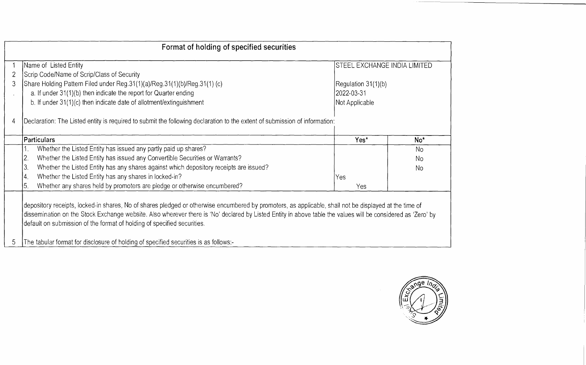|   | Format of holding of specified securities                                                                                                                                                                                                                                                                                                                                                                                                                                                 |                              |                 |  |  |  |  |
|---|-------------------------------------------------------------------------------------------------------------------------------------------------------------------------------------------------------------------------------------------------------------------------------------------------------------------------------------------------------------------------------------------------------------------------------------------------------------------------------------------|------------------------------|-----------------|--|--|--|--|
|   | Name of Listed Entity                                                                                                                                                                                                                                                                                                                                                                                                                                                                     | STEEL EXCHANGE INDIA LIMITED |                 |  |  |  |  |
|   | Scrip Code/Name of Scrip/Class of Security                                                                                                                                                                                                                                                                                                                                                                                                                                                |                              |                 |  |  |  |  |
| 3 | Share Holding Pattern Filed under Reg.31(1)(a)/Reg.31(1)(b)/Reg.31(1) (c)                                                                                                                                                                                                                                                                                                                                                                                                                 | Regulation 31(1)(b)          |                 |  |  |  |  |
|   | a. If under 31(1)(b) then indicate the report for Quarter ending                                                                                                                                                                                                                                                                                                                                                                                                                          | 2022-03-31                   |                 |  |  |  |  |
|   | b. If under 31(1)(c) then indicate date of allotment/extinguishment                                                                                                                                                                                                                                                                                                                                                                                                                       | Not Applicable               |                 |  |  |  |  |
| 4 | Declaration: The Listed entity is required to submit the following declaration to the extent of submission of information:                                                                                                                                                                                                                                                                                                                                                                |                              |                 |  |  |  |  |
|   | Particulars                                                                                                                                                                                                                                                                                                                                                                                                                                                                               | Yes*                         | No <sup>*</sup> |  |  |  |  |
|   | Whether the Listed Entity has issued any partly paid up shares?                                                                                                                                                                                                                                                                                                                                                                                                                           |                              | <b>No</b>       |  |  |  |  |
|   | Whether the Listed Entity has issued any Convertible Securities or Warrants?<br>2.                                                                                                                                                                                                                                                                                                                                                                                                        |                              | No              |  |  |  |  |
|   | Whether the Listed Entity has any shares against which depository receipts are issued?<br>3.                                                                                                                                                                                                                                                                                                                                                                                              |                              | No.             |  |  |  |  |
|   | Whether the Listed Entity has any shares in locked-in?<br>4.                                                                                                                                                                                                                                                                                                                                                                                                                              | Yes                          |                 |  |  |  |  |
|   | 5<br>Whether any shares held by promoters are pledge or otherwise encumbered?                                                                                                                                                                                                                                                                                                                                                                                                             | Yes                          |                 |  |  |  |  |
| 5 | depository receipts, locked-in shares, No of shares pledged or otherwise encumbered by promoters, as applicable, shall not be displayed at the time of<br>dissemination on the Stock Exchange website. Also wherever there is 'No' declared by Listed Entity in above table the values will be considered as 'Zero' by<br>default on submission of the format of holding of specified securities.<br>The tabular format for disclosure of holding of specified securities is as follows:- |                              |                 |  |  |  |  |
|   |                                                                                                                                                                                                                                                                                                                                                                                                                                                                                           |                              |                 |  |  |  |  |

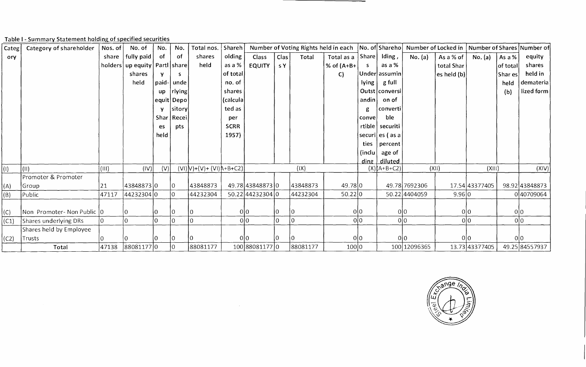Table I - Summary Statement holding of specified securities

| Categ       | Category of shareholder   | Nos. of       | No. of                              | No.       | No.          | Total nos.   Shareh       |             |                  |          |          | Number of Voting Rights held in each |          |                 | No. of Shareho Number of Locked in   Number of Shares Number of |                |                |                  |                |
|-------------|---------------------------|---------------|-------------------------------------|-----------|--------------|---------------------------|-------------|------------------|----------|----------|--------------------------------------|----------|-----------------|-----------------------------------------------------------------|----------------|----------------|------------------|----------------|
| ory         |                           | share         | fully paid                          | of        | of           | shares                    | olding      | Class            | Clas     | Total    | Total as a   Share                   |          | Iding,          | No. (a)                                                         | As a % of      | No. (a)        | As a $%$         | equity         |
|             |                           |               | holders   up equity   Partl   share |           |              | held                      | as a %      | <b>EQUITY</b>    | s Y      |          | % of $(A+B+$                         |          | as a %          |                                                                 | total Shar     |                | $ $ of total $ $ | shares         |
|             |                           |               | shares                              |           |              |                           | of total    |                  |          |          | C)                                   |          | Under assumin   |                                                                 | $ eS$ held (b) |                | Shar es          | held in        |
|             |                           |               | held                                | paid-     | unde         |                           | no. of      |                  |          |          |                                      | lying    | g full          |                                                                 |                |                | held             | demateria      |
|             |                           |               |                                     | <b>up</b> | $ $ rlying   |                           | shares      |                  |          |          |                                      |          | Outst conversi  |                                                                 |                |                | (b)              | lized form     |
|             |                           |               |                                     |           | equit Depo   |                           | (calcula    |                  |          |          |                                      | andin    | on of           |                                                                 |                |                |                  |                |
|             |                           |               |                                     |           | sitory       |                           | ted as      |                  |          |          |                                      |          | converti        |                                                                 |                |                |                  |                |
|             |                           |               |                                     |           | Shar   Recei |                           | per         |                  |          |          |                                      | conve.   | ble             |                                                                 |                |                |                  |                |
|             |                           |               |                                     | es.       | pts          |                           | <b>SCRR</b> |                  |          |          |                                      | rtible   | securiti        |                                                                 |                |                |                  |                |
|             |                           |               |                                     | held      |              |                           | 1957)       |                  |          |          |                                      |          | securiles (as a |                                                                 |                |                |                  |                |
|             |                           |               |                                     |           |              |                           |             |                  |          |          |                                      | ties     | percent         |                                                                 |                |                |                  |                |
|             |                           |               |                                     |           |              |                           |             |                  |          |          |                                      | (inclu)  | age of          |                                                                 |                |                |                  |                |
|             |                           |               |                                     |           |              |                           |             |                  |          |          |                                      | $\dim$ g | diluted         |                                                                 |                |                |                  |                |
| $\vert$ (I) | (11)                      | $\vert$ (III) | (IV)                                | V         |              | $(VI)V)+(V)+(VI)+H+B+C2)$ |             |                  |          | (IX)     |                                      |          | $(X)[A+B+C2]$   |                                                                 | (XII)          | (XIII)         |                  | (XIV)          |
|             | Promoter & Promoter       |               |                                     |           |              |                           |             |                  |          |          |                                      |          |                 |                                                                 |                |                |                  |                |
| (A)         | Group                     | 21            | 43848873 0                          |           | 10           | 43848873                  |             | 49.78 43848873 0 |          | 43848873 | 49.78 0                              |          |                 | 49.78 7692306                                                   |                | 17.54 43377405 |                  | 98.92 43848873 |
| (B)         | Public                    | 47117         | 44232304 0                          |           | 10           | 44232304                  |             | 50.22 44232304 0 |          | 44232304 | 50.22 0                              |          |                 | 50.22 4404059                                                   | 9.96 0         |                |                  | 040709064      |
|             |                           |               |                                     |           |              |                           |             |                  |          |          |                                      |          |                 |                                                                 |                |                |                  |                |
| (C)         | Non Promoter-Non Public 0 |               |                                     |           | 10           |                           |             | 0 0              |          |          |                                      | 0 0      |                 | 0 0                                                             |                | 0 0            | 0 0              |                |
| (C1)        | Shares underlying DRs     |               |                                     | IO.       | 10           | I٥                        |             | 0 <sup>10</sup>  | I٥       | l٥       |                                      | 0 0      |                 | 0 <sup>0</sup>                                                  |                | 0 0            | 0 0              |                |
|             | Shares held by Employee   |               |                                     |           |              |                           |             |                  |          |          |                                      |          |                 |                                                                 |                |                |                  |                |
| (C2)        | Trusts                    |               |                                     |           | 10           |                           |             | 0 0              | $\Omega$ |          |                                      | 0 0      |                 | 0l0                                                             |                | 0 0            | 0 0              |                |
|             | Total                     | 47138         | 88081177 0                          |           | I0           | 88081177                  |             | 100 88081177 0   |          | 88081177 | 100 0                                |          |                 | 100 1209 6365                                                   |                | 13.73 43377405 |                  | 49.25 84557937 |

 $\sim$ 

ange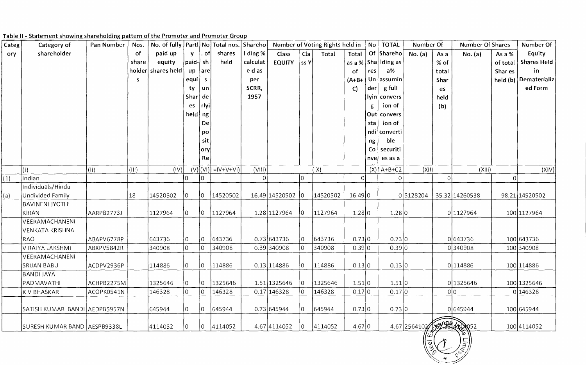|  | Table II - Statement showing shareholding pattern of the Promoter and Promoter Group |  |  |  |
|--|--------------------------------------------------------------------------------------|--|--|--|

| Categ | Category of                   | Pan Number     | Nos.  | No. of fully   Parti   No   Total nos. |                  |                 |                           | Shareho  | Number of Voting Rights held in |                |          | No TOTAL    | Number Of |                         | <b>Number Of Shares</b> |       | Number Of      |                |                       |
|-------|-------------------------------|----------------|-------|----------------------------------------|------------------|-----------------|---------------------------|----------|---------------------------------|----------------|----------|-------------|-----------|-------------------------|-------------------------|-------|----------------|----------------|-----------------------|
| ory   | shareholder                   |                | of    | paid up                                | <b>V</b>         | . ofl           | shares                    | I ding % | Class                           | Cla            | Total    | Total       |           | Of Shareho              | No. (a)                 | As a  | No. (a)        | As a $%$       | Equity                |
|       |                               |                | share | equity                                 | $ $ paid- $ $ sh |                 | held                      | calculat | <b>EQUITY</b>                   | $ $ ss Y $ $   |          |             |           | as a %   Sha   Iding as |                         | % of  |                | of total       | <b>Shares Held</b>    |
|       |                               |                |       | holder shares held                     | up               | are             |                           | e d as   |                                 |                |          | of          | res       | $a\%$                   |                         | total |                | Shar es        | in                    |
|       |                               |                | S.    |                                        | equi             | $\mathsf{S}$    |                           | per      |                                 |                |          | $(A+B+$     |           | Un $\alpha$             |                         | Shar  |                |                | held (b) Dematerializ |
|       |                               |                |       |                                        | ty               | un              |                           | SCRR,    |                                 |                |          | C           | der       | g full                  |                         | es    |                |                | ed Form               |
|       |                               |                |       |                                        | Shar             | de              |                           | 1957     |                                 |                |          |             |           | lyin convers            |                         | held  |                |                |                       |
|       |                               |                |       |                                        | es               | $ $ rlyi        |                           |          |                                 |                |          |             | g         | ion of                  |                         | (b)   |                |                |                       |
|       |                               |                |       |                                        | held $ng$        |                 |                           |          |                                 |                |          |             |           | Out convers             |                         |       |                |                |                       |
|       |                               |                |       |                                        |                  | De              |                           |          |                                 |                |          |             | sta       | ion of                  |                         |       |                |                |                       |
|       |                               |                |       |                                        |                  | po              |                           |          |                                 |                |          |             |           | ndi converti            |                         |       |                |                |                       |
|       |                               |                |       |                                        |                  | sit             |                           |          |                                 |                |          |             | ng        | ble                     |                         |       |                |                |                       |
|       |                               |                |       |                                        |                  | ory             |                           |          |                                 |                |          |             |           | $Co$ securiti           |                         |       |                |                |                       |
|       |                               |                |       |                                        |                  | Re              |                           |          |                                 |                |          |             | nvel      | es as a                 |                         |       |                |                |                       |
|       | $\vert$ (I)                   | $(\mathbb{H})$ | (III) | (IV)                                   |                  |                 | $(V) (V )  =  V + V + V $ | (VIII)   |                                 |                | (IX)     |             |           | $(X)$ $A+B+C2$          | (XII)                   |       | (XIII)         |                | (XIV)                 |
| (1)   | Indian                        |                |       |                                        |                  | 10.             |                           | 0I       |                                 | $\overline{0}$ |          | $\mathbf 0$ |           | $\Omega$                |                         | 0     |                | $\overline{0}$ |                       |
|       | Individuals/Hindu             |                |       |                                        |                  |                 |                           |          |                                 |                |          |             |           |                         |                         |       |                |                |                       |
| (a)   | Undivided Family              |                | 18    | 14520502                               | 10.              | 10.             | 14520502                  |          | 16.49 14520502 0                |                | 14520502 | 16.49 0     |           |                         | 05128204                |       | 35.32 14260538 |                | 98.21 14520502        |
|       | <b>BAVINENI JYOTHI</b>        |                |       |                                        |                  |                 |                           |          |                                 |                |          |             |           |                         |                         |       |                |                |                       |
|       | KIRAN                         | AARPB2773J     |       | 1127964                                | 10               | $\vert 0 \vert$ | 1127964                   |          | 1.28 1127964                    | 10             | 1127964  | 1.28 0      |           | 1.28 0                  |                         |       | 0 1127964      |                | 100 1127964           |
|       | VEERAMACHANENI                |                |       |                                        |                  |                 |                           |          |                                 |                |          |             |           |                         |                         |       |                |                |                       |
|       | <b>VENKATA KRISHNA</b>        |                |       |                                        |                  |                 |                           |          |                                 |                |          |             |           |                         |                         |       |                |                |                       |
|       | RAO                           | ABAPV6778P     |       | 643736                                 | $ 0\rangle$      | $\overline{0}$  | 643736                    |          | 0.73 643736                     | 10.            | 643736   | 0.73 0      |           | 0.73 0                  |                         |       | 0643736        |                | 100 643736            |
|       | V RAJYA LAKSHMI               | ABXPV5842R     |       | 340908                                 |                  | $\overline{0}$  | 340908                    |          | $0.39$ 340908                   | 10             | 340908   | 0.39 0      |           | 0.39 0                  |                         |       | 0340908        |                | 100 340908            |
|       | VEERAMACHANENI                |                |       |                                        |                  |                 |                           |          |                                 |                |          |             |           |                         |                         |       |                |                |                       |
|       | <b>SRIJAN BABU</b>            | ACDPV2936P     |       | 114886                                 | 10.              | IO              | 114886                    |          | 0.13 114886                     | $\Omega$       | 114886   | 0.13 0      |           | 0.13 0                  |                         |       | 0 114886       |                | 100 114886            |
|       | <b>BANDI JAYA</b>             |                |       |                                        |                  |                 |                           |          |                                 |                |          |             |           |                         |                         |       |                |                |                       |
|       | PADMAVATHI                    | ACHPB2275M     |       | 1325646                                | 10.              | 0               | 1325646                   |          | 1.51 1325646                    | 0              | 1325646  | 1.51 0      |           | 1.51 0                  |                         |       | 0 1325646      |                | 100 1325646           |
|       | K V BHASKAR                   | ACOPK0541N     |       | 146328                                 |                  | $ 0\rangle$     | 146328                    |          | 0.17 146328                     | $ 0\rangle$    | 146328   | 0.17 0      |           | 0.17 0                  |                         |       | 0 <sub>0</sub> |                | 0 146328              |
|       | SATISH KUMAR BANDI AEDPB5957N |                |       | 645944                                 | 10.              | $\vert 0 \vert$ | 645944                    |          | 0.73 645944                     | $\overline{0}$ | 645944   | 0.73 0      |           | 0.73 0                  |                         |       | 0645944        |                | 100 645944            |
|       | SURESH KUMAR BANDI AESPB9338L |                |       | 4114052                                |                  | $\overline{0}$  | 4114052                   |          | 4.67 4114052                    | 0              | 4114052  | 4.67 0      |           |                         | 4.67 2564102 509 422052 |       |                |                | 100 4114052           |

 $\frac{\left(\frac{1}{2}\right)^{2}}{\left(\frac{1}{2}\right)^{2}}\left(\frac{1}{2}\right)^{2}\left(\frac{1}{2}\right)^{2}\left(\frac{1}{2}\right)^{2}\left(\frac{1}{2}\right)^{2}\left(\frac{1}{2}\right)^{2}\left(\frac{1}{2}\right)^{2}\left(\frac{1}{2}\right)^{2}\left(\frac{1}{2}\right)^{2}\left(\frac{1}{2}\right)^{2}\left(\frac{1}{2}\right)^{2}\left(\frac{1}{2}\right)^{2}\left(\frac{1}{2}\right)^{2}\left(\frac{1}{2}\right)^{2}\left(\frac{1}{2}\right)^{2}\left(\frac{1}{2$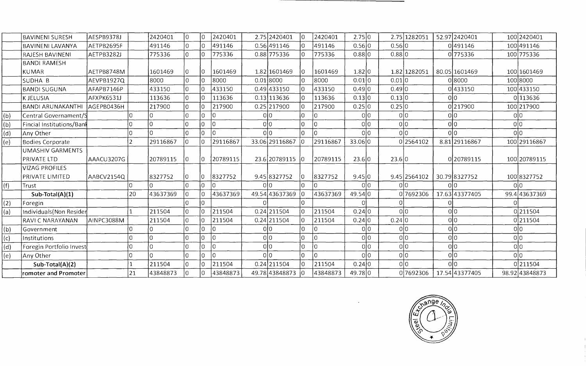|                | <b>BAVINENI SURESH</b>    | AESPB9378J |          | 2420401        |     |                | 2420401  |        | 2.75 2420401     | l0  | 2420401        | 2.75 0  |        | 2.75 1282051    | 52.97 2420401  | 100 2420401    |
|----------------|---------------------------|------------|----------|----------------|-----|----------------|----------|--------|------------------|-----|----------------|---------|--------|-----------------|----------------|----------------|
|                | <b>BAVINENI LAVANYA</b>   | AETPB2695F |          | 491146         |     |                | 491146   |        | 0.56 491146      | I٥  | 491146         | 0.56 0  | 0.56 0 |                 | 0491146        | 100 491146     |
|                | RAJESH BAVINENI           | AETPB3282J |          | 775336         |     |                | 775336   |        | 0.88 775336      | l0. | 775336         | 0.88 0  | 0.88 0 |                 | 0775336        | 100 775336     |
|                | <b>BANDI RAMESH</b>       |            |          |                |     |                |          |        |                  |     |                |         |        |                 |                |                |
|                | KUMAR                     | AETPB8748M |          | 1601469        |     |                | 1601469  |        | 1.82 1601469     | I٥  | 1601469        | 1.82 0  |        | 1.82 1282051    | 80.05 1601469  | 100 160 1469   |
|                | SUDHA B                   | AEVPB1927Q |          | 8000           |     |                | 8000     |        | 0.01 8000        | I۵  | 8000           | 0.01 0  | 0.01 0 |                 | 0 8000         | 100 8000       |
|                | <b>BANDI SUGUNA</b>       | AFAPB7146P |          | 433150         |     |                | 433150   |        | $0.49$ 433150    | I٥  | 433150         | 0.49 0  | 0.49 0 |                 | 0433150        | 100 433150     |
|                | <b>KJELUSIA</b>           | AFXPK6531J |          | 113636         |     |                | 113636   |        | 0.13 113636      | I٥  | 113636         | 0.13 0  | 0.13 0 |                 | 0 0            | 0113636        |
|                | <b>BANDI ARUNAKANTHI</b>  | AGEPB0436H |          | 217900         | l0  |                | 217900   |        | 0.25 217900      | 10  | 217900         | 0.25 0  | 0.25 0 |                 | 0217900        | 100 217900     |
| (b)            | Central Governament/S     |            |          |                |     |                |          |        | 0l0              | I۵  | O              | 0 0     |        | 0 0             | 0 0            | 0 0            |
| (b)            | Fincial Institutions/Bank |            |          | $\overline{0}$ | lO  | $\overline{O}$ | l0       |        | 0 0              | lo  | $\Omega$       | olo     |        | 0 0             | 0 <sup>0</sup> | 0 0            |
| (d)            | Any Other                 |            |          | $\overline{0}$ | I۵  | ١O             | l N      |        | olo              | lo  | $\Omega$       | 0 0     |        | olo             | 0 <sup>0</sup> | olo            |
| (e)            | Bodies Corporate          |            | っ        | 29116867       |     |                | 29116867 |        | 33.06 29116867   | 10  | 29116867       | 33.06 0 |        | 0 2564102       | 8.81 29116867  | 100 29116867   |
|                | UMASHIV GARMENTS          |            |          |                |     |                |          |        |                  |     |                |         |        |                 |                |                |
|                | PRIVATE LTD               | AAACU3207G |          | 20789115       | 10  |                | 20789115 |        | 23.6 20789115 0  |     | 20789115       | 23.6 0  | 23.6 0 |                 | 0 20789115     | 100 2078 9115  |
|                | <b>VIZAG PROFILES</b>     |            |          |                |     |                |          |        |                  |     |                |         |        |                 |                |                |
|                | PRIVATE LIMITED           | AABCV2154Q |          | 8327752        | 10  | 10             | 8327752  |        | 9.45 8327752     | 10  | 8327752        | 9.45 0  |        | 9.45 2564102    | 30.798327752   | 100 8327752    |
| (f)            | Trust                     |            |          |                |     |                |          |        | 0 0              | I۸  | $\Omega$       | olo     |        | 0l0             | 0 <sup>0</sup> | 0 0            |
|                | Sub-Total(A)(1)           |            | 20       | 43637369       |     |                | 43637369 |        | 49.54 43637369   | 10  | 43637369       | 49.540  |        | 0 7692306       | 17.63 43377405 | 99.4 43637369  |
| (2)            | Foregin                   |            |          |                | I۵  | I۵             |          | $\cap$ |                  | 10  |                | O       |        |                 | $\Omega$       |                |
| (a)            | Individuals (Non Resider  |            |          | 211504         | IO. |                | 211504   |        | $0.24$   211504  | łο  | 211504         | 0.24 0  |        | olo             | 0 0            | 0 211504       |
|                | RAVI C NARAYANAN          | AINPC3088M |          | 211504         | I۵  |                | 211504   |        | 0.24 211504      | 10  | 211504         | 0.24 0  | 0.24 0 |                 | 0 0            | 0211504        |
| (b)            | Government                |            |          | 0              |     | l 0            |          |        | 0 0              | 10  | O              | 0 0     |        | 0 <sup>10</sup> | 0 0            | 아이             |
| $\overline{c}$ | Institutions              |            |          |                |     |                | $\Omega$ |        | 0 0              | I٥  | $\overline{0}$ | 0 0     |        | olo             | olo            | 0 0            |
| (d)            | Foregin Portfolio Invest  |            |          | $\overline{0}$ |     | l 0            | l٥       |        | olo              | 10  | ٥              | 아이      |        | olo             | 0 0            | 0 0            |
| (e)            | Any Other                 |            | $\Omega$ | $\overline{0}$ |     | $\Omega$       |          |        | olo              | lo  | $\Omega$       | olo     |        | olo             | olo            | olo            |
|                | Sub-Total(A)(2)           |            |          | 211504         |     |                | 211504   |        | 0.24 211504      | l0  | 211504         | 0.24 0  |        | 0 0             | olo            | 0211504        |
|                | romoter and Promoter      |            | 21       | 43848873       |     |                | 43848873 |        | 49.78 43848873 0 |     | 43848873       | 49.780  |        | 07692306        | 17.54 43377405 | 98.92 43848873 |

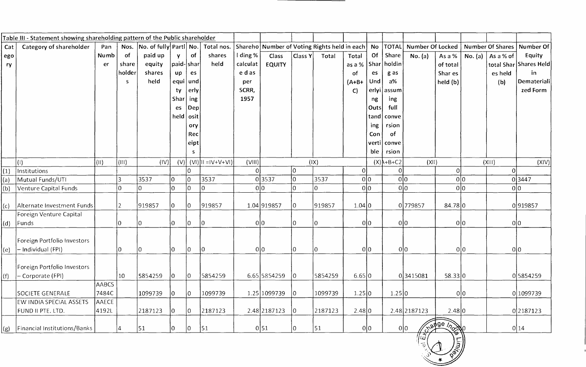|     | Table III - Statement showing shareholding pattern of the Public shareholder |              |                 |                               |             |             |                                 |          |                                                 |             |         |                        |           |                 |                  |                                                                                                   |         |                         |                        |
|-----|------------------------------------------------------------------------------|--------------|-----------------|-------------------------------|-------------|-------------|---------------------------------|----------|-------------------------------------------------|-------------|---------|------------------------|-----------|-----------------|------------------|---------------------------------------------------------------------------------------------------|---------|-------------------------|------------------------|
| Cat | Category of shareholder                                                      | Pan          | Nos.            | $ No.$ of fully Partl $ No. $ |             |             | Total nos.                      |          | Shareho Number of Voting Rights held in each No |             |         |                        |           | $ {\tt TOTAL} $ | Number Of Locked |                                                                                                   |         | <b>Number Of Shares</b> | Number Of              |
| ego |                                                                              | Numb         | of              | paid up                       | Y           | of          | shares                          | l ding % | Class                                           | Class Y     | Total   | Total                  | <b>Of</b> | Share           | No. (a)          | As a %                                                                                            | No. (a) | As a % of               | Equity                 |
| ry  |                                                                              | er           | share           | equity                        | paid- shar  |             | held                            | calculat | <b>EQUITY</b>                                   |             |         | as a %   Shar   holdin |           |                 |                  | of total                                                                                          |         |                         | total Shar Shares Held |
|     |                                                                              |              | holder          | shares                        | up          | es          |                                 | e d as   |                                                 |             |         | <b>of</b>              | es        | g as            |                  | Shar es                                                                                           |         | es held                 | in.                    |
|     |                                                                              |              | S.              | held                          | equi   und  |             |                                 | per      |                                                 |             |         | $(A+B+$                | Und       | $a\%$           |                  | held (b)                                                                                          |         | (b)                     | Demateriali            |
|     |                                                                              |              |                 |                               | ty          | erly        |                                 | SCRR,    |                                                 |             |         | $\mathsf{C}$           |           | erlyi assum     |                  |                                                                                                   |         |                         | zed Form               |
|     |                                                                              |              |                 |                               | Shar        | $ $ ing     |                                 | 1957     |                                                 |             |         |                        | ng        | ing             |                  |                                                                                                   |         |                         |                        |
|     |                                                                              |              |                 |                               | es          | $\vert$ Dep |                                 |          |                                                 |             |         |                        | Outs      | full            |                  |                                                                                                   |         |                         |                        |
|     |                                                                              |              |                 |                               | held $\cos$ |             |                                 |          |                                                 |             |         |                        | tand      | conve           |                  |                                                                                                   |         |                         |                        |
|     |                                                                              |              |                 |                               |             | ory         |                                 |          |                                                 |             |         |                        | ing       | rsion           |                  |                                                                                                   |         |                         |                        |
|     |                                                                              |              |                 |                               |             | Rec         |                                 |          |                                                 |             |         |                        | Con       | of              |                  |                                                                                                   |         |                         |                        |
|     |                                                                              |              |                 |                               |             | eipt        |                                 |          |                                                 |             |         |                        | verti     | conve           |                  |                                                                                                   |         |                         |                        |
|     |                                                                              |              |                 |                               |             | S.          |                                 |          |                                                 |             |         |                        | ble       | rsion           |                  |                                                                                                   |         |                         |                        |
|     | (1)                                                                          | $\vert$ (II) | (III)           | (IV)                          |             |             | $(V)$ $(V)$ $ U  =  V + V + V $ | (VIII)   |                                                 | (IX)        |         |                        |           | $(X)$ $A+B+C2$  | (XII)            |                                                                                                   |         | (XIII)                  | (XIV)                  |
| (1) | Institutions                                                                 |              |                 |                               |             | 10          |                                 | $\Omega$ |                                                 | l0          |         | 0                      |           | $\Omega$        |                  | $\Omega$                                                                                          |         | 0                       |                        |
| (a) | Mutual Funds/UTI                                                             |              | 3               | 3537                          | l0.         | lo.         | 3537                            |          | 03537                                           | lo.         | 3537    |                        | 0 0       | 0 0             |                  | 0 0                                                                                               |         |                         | 03447                  |
| (b) | Venture Capital Funds                                                        |              | 10              | $\Omega$                      | l0          |             | l0.                             | 0 0      |                                                 | $\mathbf 0$ | l0.     |                        | 0 0       | 0 0             |                  | 0 0                                                                                               |         | 0 0                     |                        |
| (c) | Alternate Investment Funds                                                   |              | 2               | 919857                        | 10          | 10          | 919857                          |          | 1.04 919857                                     | 0           | 919857  | 1.04 0                 |           |                 | 0 779857         | 84.78 0                                                                                           |         |                         | 0919857                |
|     | Foreign Venture Capital                                                      |              |                 |                               |             |             |                                 |          |                                                 |             |         |                        |           |                 |                  |                                                                                                   |         |                         |                        |
| (d) | Funds                                                                        |              | 10              | 10                            | l0          | 10          | 10                              | 0 0      |                                                 | $\mathbf 0$ | 10      |                        | 0 0       | 0 0             |                  | 0 0                                                                                               |         | 0 0                     |                        |
| (e) | Foreign Portfolio Investors<br>- Individual (FPI)                            |              | 10              | 10                            | 10          | 10          | l0                              | 0 0      |                                                 | 10          | 10      |                        | 0 0       | 0 0             |                  | 0 0                                                                                               |         | 0 0                     |                        |
|     |                                                                              |              |                 |                               |             |             |                                 |          |                                                 |             |         |                        |           |                 |                  |                                                                                                   |         |                         |                        |
|     | Foreign Portfolio Investors                                                  |              |                 |                               |             |             |                                 |          |                                                 |             |         |                        |           |                 |                  |                                                                                                   |         |                         |                        |
| (f) | - Corporate (FPI)                                                            |              | 10 <sup>°</sup> | 5854259                       | 10.         | łО          | 5854259                         |          | 6.65 5854259                                    | 10.         | 5854259 | 6.65 0                 |           |                 | 03415081         | 58.33 0                                                                                           |         |                         | 05854259               |
|     |                                                                              | <b>AABCS</b> |                 |                               |             |             |                                 |          |                                                 |             |         |                        |           |                 |                  |                                                                                                   |         |                         |                        |
|     | <b>SOCIETE GENERALE</b>                                                      | 7484C        |                 | 1099739                       | IO.         | 10          | 1099739                         |          | 1.25 1099739                                    | 0           | 1099739 | 1.25 0                 |           | 1.25 0          |                  | 0 0                                                                                               |         |                         | 0 1099739              |
|     | EW INDIA SPECIAL ASSETS                                                      | AAECE        |                 |                               |             |             |                                 |          |                                                 |             |         |                        |           |                 |                  |                                                                                                   |         |                         |                        |
|     | FUND II PTE. LTD.                                                            | 4192L        |                 | 2187123                       | 10          | 0           | 2187123                         |          | 2.48 2187123                                    | $ 0\rangle$ | 2187123 | 2.48 0                 |           |                 | 2.48 2187123     | 2.48 0                                                                                            |         |                         | 0 2187123              |
| (g) | Financial Institutions/Banks                                                 |              |                 | 51                            | 10          | $ 0\rangle$ | 51                              |          | 0 51                                            | l0.         | 51      |                        | 0 0       | 0 0             |                  | Charge many                                                                                       |         |                         | 0 14                   |
|     |                                                                              |              |                 |                               |             |             |                                 |          |                                                 |             |         |                        |           |                 | עון              | $\begin{pmatrix} \sqrt{2} & \sqrt{2} \\ \sqrt{2} & \sqrt{2} \\ \sqrt{2} & \sqrt{2} \end{pmatrix}$ |         |                         |                        |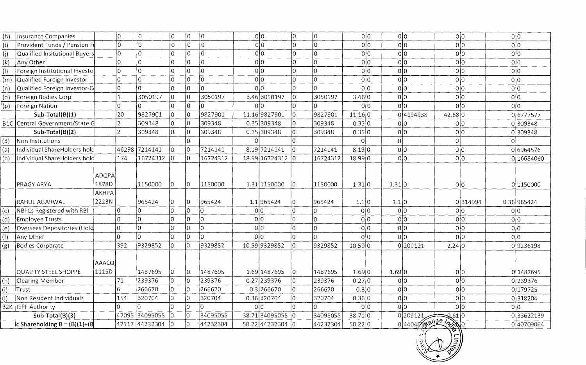| (h) | Insurance Companies             |                                       | lo.            | lo.            | lo.            | lo.              | 0              | olo              | ١o             | ſ٥       | 0 0            | 0 0             | 0 0            | 0 0            |
|-----|---------------------------------|---------------------------------------|----------------|----------------|----------------|------------------|----------------|------------------|----------------|----------|----------------|-----------------|----------------|----------------|
| (i) | Provident Funds / Pension F     |                                       | $\Omega$       | I۵             | lo.            | $\overline{0}$   | U              | olo              | I۵             | lo       | 0 0            | 0 <sub>0</sub>  | 0 0            | 0 <sup>0</sup> |
| (i) | Qualified Insitutional Buyers   |                                       | $\overline{O}$ | l0             | lo             | 0 l              |                | olo              | lo             | 0        | 0 0            | 0 0             | 0 0            | 0 0            |
| (k) | Any Other                       |                                       | l0.            | l0             | lo             | 0                | 0              | 0 0              | I٥             | lo       | 0 0            | 0 0             | olo            | 0 <sup>0</sup> |
| (1) | Foreign Institutional Investo   |                                       | l0.            | I٥             | lo.            | $\overline{0}$   | 0              | olo              | lo             | lo       | 0 <sup>0</sup> | 0 <sup>0</sup>  | olo            | 0 0            |
| (m) | Qualified Foreign Investor      |                                       | 0              | 10             | l0             | $\boldsymbol{0}$ | l0             | olo              | l0             | 10       | 0 0            | olo             | olo            | 0 0            |
| (n) | Qualified Foreign Investor-C    |                                       | 0              | I٥             | l0.            | I٥               | lo.            | 0 <sup>10</sup>  | lo.            | l0.      | 0 0            | 0 0             | 0 <sup>0</sup> | 0 0            |
| (o) | Foreign Bodies Corp             |                                       |                | 3050197        | 0              | ١o               | 3050197        | 3.46 3050197     | lo             | 3050197  | 3.46 0         | 0 0             | 0 0            | 0 0            |
| (p) | Foreign Nation                  |                                       | $\overline{0}$ | In             | l0             | l0               | l0             | 0 <sup>10</sup>  | l0             | I٥       | 0 0            | olo             | 0 <sup>0</sup> | 0 <sup>0</sup> |
|     | Sub-Total(B)(1)                 |                                       | 20             | 9827901        | 0              | l0               | 9827901        | 11.16 9827901    | lo.            | 9827901  | 11.16 0        | 04194938        | 42.68 0        | 06777577       |
|     | B1C Central Government/State G  |                                       | $\overline{2}$ | 309348         | l0             | 10               | 309348         | 0.35 309348      | l0.            | 309348   | 0.35 0         | 0 0             | olo            | 0309348        |
|     | Sub-Total(B)(2)                 |                                       | $\overline{2}$ | 309348         | lo.            | ١o               | 309348         | 0.35 309348      | $\overline{0}$ | 309348   | 0.35 0         | 0 0             | olo            | 0309348        |
| (3) | Non Institutions                |                                       |                |                |                | 10               |                |                  | $\Omega$       |          |                | ΩI              |                |                |
| (a) | Individual ShareHolders hold    |                                       | 46298          | 7214141        | lo.            | ÍО               | 7214141        | 8.197214141      | I۵             | 7214141  | 8.19 0         | 0 0             | 0 0            | 06964576       |
| (b) | Individual ShareHolders hold    |                                       | 174            | 16724312       | l0             | l0               | 16724312       | 18.99 16724312 0 |                | 16724312 | 18.99 0        | 0 0             | 0 0            | 0 16684060     |
|     | PRAGY ARYA                      | <b>ADQPA</b><br>1878D<br><b>AKHPA</b> |                | 1150000        | 0              | 10               | 1150000        | 1.31 1150000     | $\overline{0}$ | 1150000  | 1.31 0         | 1.31 0          | 0 0            | 0 1150000      |
|     | RAHUL AGARWAL                   | 2223N                                 |                | 965424         | $\overline{0}$ | 10               | 965424         | 1.1 965424       | 0              | 965424   | 1.1 0          | 1.1 0           | 0314994        | 0.36 965424    |
| (c) | NBFCs Registered with RBI       |                                       | 10             | ۱n             | O.             | 10               | l0             | 0 0              | $\Omega$       | 0        | 0 0            | 0 0             | 0 0            | 0 0            |
| (d) | Employee Trusts                 |                                       | 10.            | $\Omega$       | <sup>0</sup>   | $\overline{0}$   | 10             | 0 0              | $\overline{0}$ | ٥        | olo            | 0 0             | 0 0            | 0 0            |
| (e) | Overseas Depositories (Hold     |                                       | 0              | ۱o             | ın             | $\overline{0}$   | lo.            | 0 0              | l0             | $\Omega$ | olo            | olo             | 0 <sub>0</sub> | 0 0            |
| (f) | Any Other                       |                                       | l0             | In             | $\Omega$       | lo               | $\overline{0}$ | 0 0              | $\overline{0}$ | $\Omega$ | 0 0            | olo             | 0 0            | 0 0            |
| (g) | Bodies Corporate                |                                       | 392            | 9329852        | $\overline{0}$ | I٥               | 9329852        | 10.599329852     | $\Omega$       | 9329852  | 10.59 0        | 0 209121        | 2.24 0         | 09236198       |
|     | <b>QUALITY STEEL SHOPPE</b>     | AAACQ<br>1115D                        |                | 1487695        | l0.            | 10               | 1487695        | 1.69 1487695     | $\overline{0}$ | 1487695  | 1.69 0         | 1.69 0          | 0 0            | 0 1487695      |
| (h) | <b>Clearing Member</b>          |                                       | 71             | 239376         | $\overline{0}$ | lo               | 239376         | 0.27 239376      | $\overline{0}$ | 239376   | 0.27 0         | 0 0             | 0 0            | 0 239376       |
| (i) | Trust                           |                                       | 6              | 266670         | $\overline{0}$ | l0               | 266670         | $0.3$  266670    | lo.            | 266670   | 0.3 0          | 0 0             | 0 0            | 0179725        |
| (i) | Non Resident Individuals        |                                       | 154            | 320704         | 0              | I٥               | 320704         | 0.36 320704      | l٥             | 320704   | 0.36 0         | 0 0             | olo            | 0318204        |
|     | B2K IEPF Authority              |                                       | 0              |                | 0              | I٥               | 10             | 010              | ١O             |          | 0 0            | 0 0             | 0l0            | 0 0            |
|     | Sub-Total(B)(3)                 |                                       | 47095          | 34095055       | lo             | l0               | 34095055       | 38.71 34095055 0 |                | 34095055 | 38.71 0        | 0209121         | 9.61 0         | 033622139      |
|     | c Shareholding $B = (B)(1)+(B)$ |                                       |                | 47117 44232304 | İ0             | lo.              | 44232304       | 50.22 44232304   |                | 44232304 | 50.22 0        | 0 440405 9 20 0 |                | 040709064      |

**A**